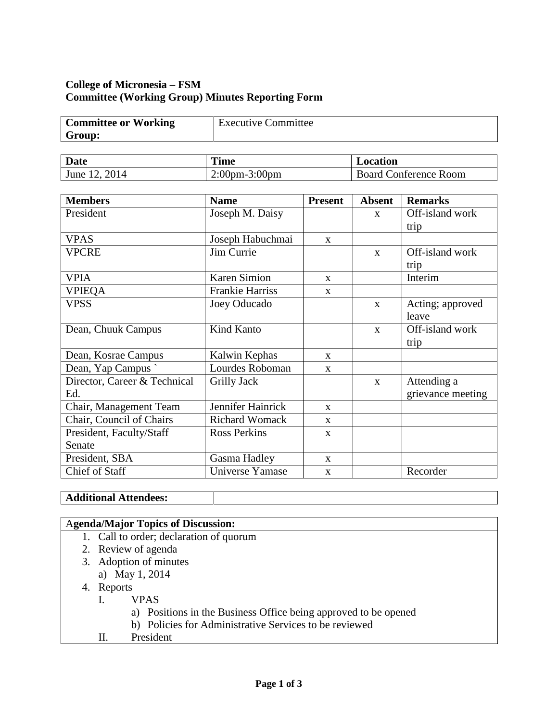# **College of Micronesia – FSM Committee (Working Group) Minutes Reporting Form**

| <b>Committee or Working</b> | <b>Executive Committee</b> |
|-----------------------------|----------------------------|
| Group:                      |                            |

| <b>Date</b>  | <b>Time</b>          | Location                   |
|--------------|----------------------|----------------------------|
| 2014<br>June | $2:00$ pm $-3:00$ pm | Conference Room<br>Board C |

| <b>Members</b>               | <b>Name</b>            | <b>Present</b> | <b>Absent</b> | <b>Remarks</b>    |
|------------------------------|------------------------|----------------|---------------|-------------------|
| President                    | Joseph M. Daisy        |                | $\mathbf{X}$  | Off-island work   |
|                              |                        |                |               | trip              |
| <b>VPAS</b>                  | Joseph Habuchmai       | $\mathbf{X}$   |               |                   |
| <b>VPCRE</b>                 | Jim Currie             |                | $\mathbf{x}$  | Off-island work   |
|                              |                        |                |               | trip              |
| <b>VPIA</b>                  | <b>Karen Simion</b>    | $\mathbf{x}$   |               | Interim           |
| <b>VPIEQA</b>                | <b>Frankie Harriss</b> | $\mathbf{X}$   |               |                   |
| <b>VPSS</b>                  | Joey Oducado           |                | $\mathbf{x}$  | Acting; approved  |
|                              |                        |                |               | leave             |
| Dean, Chuuk Campus           | Kind Kanto             |                | $\mathbf{x}$  | Off-island work   |
|                              |                        |                |               | trip              |
| Dean, Kosrae Campus          | Kalwin Kephas          | $\mathbf{x}$   |               |                   |
| Dean, Yap Campus             | Lourdes Roboman        | $\mathbf{X}$   |               |                   |
| Director, Career & Technical | Grilly Jack            |                | $\mathbf{x}$  | Attending a       |
| Ed.                          |                        |                |               | grievance meeting |
| Chair, Management Team       | Jennifer Hainrick      | $\mathbf{x}$   |               |                   |
| Chair, Council of Chairs     | <b>Richard Womack</b>  | $\mathbf{x}$   |               |                   |
| President, Faculty/Staff     | <b>Ross Perkins</b>    | $\mathbf{X}$   |               |                   |
| Senate                       |                        |                |               |                   |
| President, SBA               | Gasma Hadley           | $\mathbf{X}$   |               |                   |
| Chief of Staff               | Universe Yamase        | $\mathbf{x}$   |               | Recorder          |

# **Additional Attendees:**

| <b>Agenda/Major Topics of Discussion:</b>                       |  |
|-----------------------------------------------------------------|--|
| 1. Call to order; declaration of quorum                         |  |
| 2. Review of agenda                                             |  |
| 3. Adoption of minutes                                          |  |
| a) May 1, 2014                                                  |  |
| 4. Reports                                                      |  |
| <b>VPAS</b>                                                     |  |
| a) Positions in the Business Office being approved to be opened |  |
| b) Policies for Administrative Services to be reviewed          |  |
| President<br>Н.                                                 |  |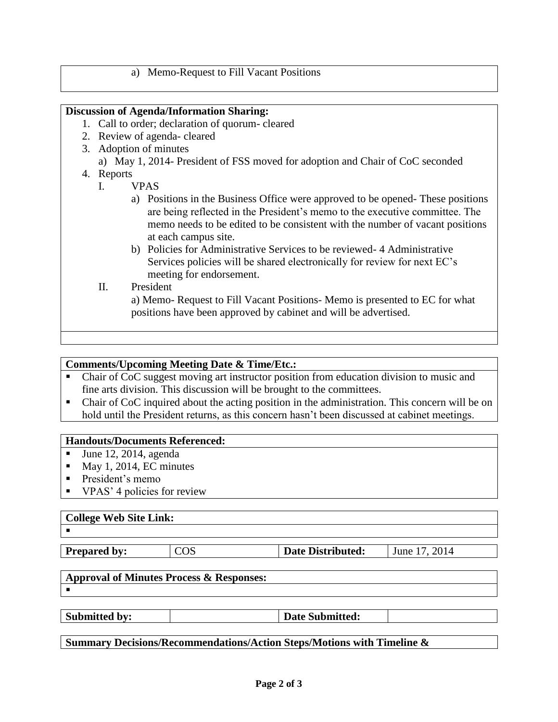## a) Memo-Request to Fill Vacant Positions

## **Discussion of Agenda/Information Sharing:**

- 1. Call to order; declaration of quorum- cleared
- 2. Review of agenda- cleared
- 3. Adoption of minutes
	- a) May 1, 2014- President of FSS moved for adoption and Chair of CoC seconded
- 4. Reports
	- I. VPAS
		- a) Positions in the Business Office were approved to be opened- These positions are being reflected in the President's memo to the executive committee. The memo needs to be edited to be consistent with the number of vacant positions at each campus site.
		- b) Policies for Administrative Services to be reviewed- 4 Administrative Services policies will be shared electronically for review for next EC's meeting for endorsement.
	- II. President

a) Memo- Request to Fill Vacant Positions- Memo is presented to EC for what positions have been approved by cabinet and will be advertised.

### **Comments/Upcoming Meeting Date & Time/Etc.:**

- Chair of CoC suggest moving art instructor position from education division to music and fine arts division. This discussion will be brought to the committees.
- Chair of CoC inquired about the acting position in the administration. This concern will be on hold until the President returns, as this concern hasn't been discussed at cabinet meetings.

#### **Handouts/Documents Referenced:**

- June 12, 2014, agenda
- $Max 1, 2014, EC minutes$
- President's memo
- VPAS' 4 policies for review

#### **College Web Site Link:**

.

**Prepared by:**  $\vert \text{COS} \vert$  **Date Distributed:** June 17, 2014

#### **Approval of Minutes Process & Responses:**  $\blacksquare$

Submitted by:  $|\text{Date Submitted:}|$ 

**Summary Decisions/Recommendations/Action Steps/Motions with Timeline &**